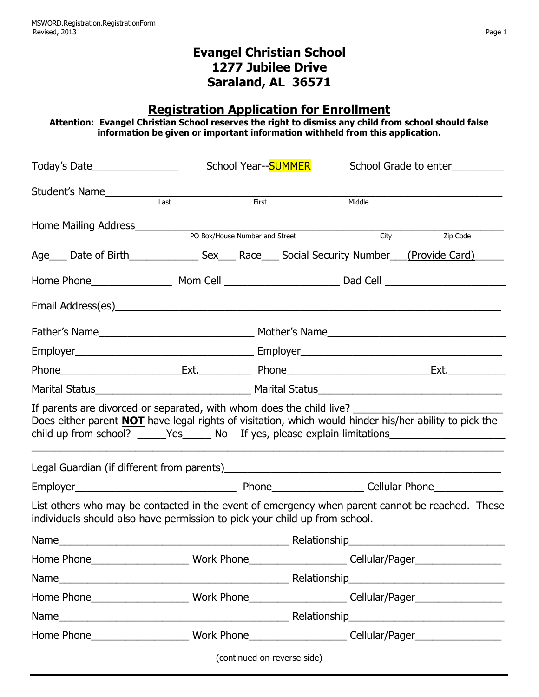## **Evangel Christian School 1277 Jubilee Drive Saraland, AL 36571**

## **Registration Application for Enrollment**

**Attention: Evangel Christian School reserves the right to dismiss any child from school should false information be given or important information withheld from this application.**

| Today's Date___________________                                                                                                                                                                                                                                                               |      | School Year--SUMMER                                                                                                                |                             | School Grade to enter                                                                                         |          |  |
|-----------------------------------------------------------------------------------------------------------------------------------------------------------------------------------------------------------------------------------------------------------------------------------------------|------|------------------------------------------------------------------------------------------------------------------------------------|-----------------------------|---------------------------------------------------------------------------------------------------------------|----------|--|
| Student's Name <b>Student's Name</b>                                                                                                                                                                                                                                                          |      |                                                                                                                                    |                             |                                                                                                               |          |  |
|                                                                                                                                                                                                                                                                                               | Last | First                                                                                                                              |                             | Middle                                                                                                        |          |  |
| Home Mailing Address__________                                                                                                                                                                                                                                                                |      |                                                                                                                                    |                             | City                                                                                                          | Zip Code |  |
|                                                                                                                                                                                                                                                                                               |      | PO Box/House Number and Street<br>Age ___ Date of Birth _______________ Sex ___ Race ___ Social Security Number ___ (Provide Card) |                             |                                                                                                               |          |  |
|                                                                                                                                                                                                                                                                                               |      |                                                                                                                                    |                             |                                                                                                               |          |  |
|                                                                                                                                                                                                                                                                                               |      |                                                                                                                                    |                             |                                                                                                               |          |  |
|                                                                                                                                                                                                                                                                                               |      |                                                                                                                                    |                             |                                                                                                               |          |  |
|                                                                                                                                                                                                                                                                                               |      |                                                                                                                                    |                             |                                                                                                               |          |  |
|                                                                                                                                                                                                                                                                                               |      |                                                                                                                                    |                             |                                                                                                               |          |  |
|                                                                                                                                                                                                                                                                                               |      |                                                                                                                                    |                             |                                                                                                               |          |  |
|                                                                                                                                                                                                                                                                                               |      |                                                                                                                                    |                             |                                                                                                               |          |  |
| If parents are divorced or separated, with whom does the child live?<br>Does either parent <b>NOT</b> have legal rights of visitation, which would hinder his/her ability to pick the<br>child up from school? _______Yes________ No If yes, please explain limitations______________________ |      |                                                                                                                                    |                             |                                                                                                               |          |  |
|                                                                                                                                                                                                                                                                                               |      |                                                                                                                                    |                             |                                                                                                               |          |  |
|                                                                                                                                                                                                                                                                                               |      |                                                                                                                                    |                             |                                                                                                               |          |  |
| List others who may be contacted in the event of emergency when parent cannot be reached. These<br>individuals should also have permission to pick your child up from school.                                                                                                                 |      |                                                                                                                                    |                             |                                                                                                               |          |  |
| Name 2010 - Anne 2010 - Anne 2010 - Anne 2010 - Anne 2010 - Anne 2010 - Anne 2010 - Anne 2010 - Anne 2010 - Anne 2010 - Anne 2010 - Anne 2010 - Anne 2010 - Anne 2010 - Anne 2010 - Anne 2010 - Anne 2010 - Anne 2010 - Anne 2                                                                |      |                                                                                                                                    |                             |                                                                                                               |          |  |
|                                                                                                                                                                                                                                                                                               |      |                                                                                                                                    |                             | Home Phone___________________________Work Phone________________________Cellular/Pager_____________________    |          |  |
|                                                                                                                                                                                                                                                                                               |      |                                                                                                                                    |                             |                                                                                                               |          |  |
|                                                                                                                                                                                                                                                                                               |      |                                                                                                                                    |                             | Home Phone_________________________Work Phone_______________________Cellular/Pager________________________    |          |  |
|                                                                                                                                                                                                                                                                                               |      |                                                                                                                                    |                             |                                                                                                               |          |  |
|                                                                                                                                                                                                                                                                                               |      |                                                                                                                                    |                             | Home Phone_____________________________Work Phone________________________Cellular/Pager______________________ |          |  |
|                                                                                                                                                                                                                                                                                               |      |                                                                                                                                    | (continued on reverse side) |                                                                                                               |          |  |